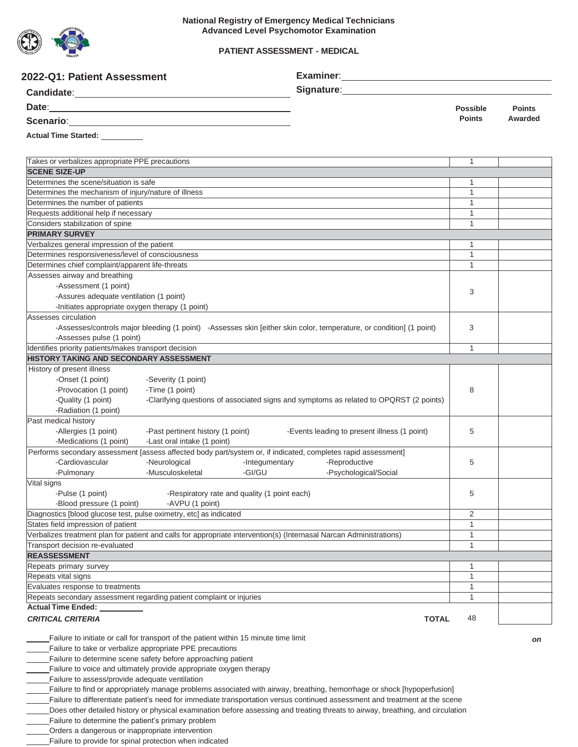

### **PATIENT ASSESSMENT - MEDICAL**

| Signature: <u>Contract Communication</u><br><b>Possible</b><br><b>Points</b><br><b>Points</b><br>Awarded<br>Scenario: 2008 Contractor Contractor Contractor Contractor Contractor Contractor Contractor Contractor Contractor Contractor Contractor Contractor Contractor Contractor Contractor Contractor Contractor Contractor Contracto<br>Takes or verbalizes appropriate PPE precautions<br>1<br><b>SCENE SIZE-UP</b><br>Determines the scene/situation is safe<br>1<br>Determines the mechanism of injury/nature of illness<br>$\mathbf{1}$<br>$\mathbf{1}$<br>Determines the number of patients<br>$\mathbf{1}$<br>Requests additional help if necessary<br>Considers stabilization of spine<br>$\mathbf{1}$<br><b>PRIMARY SURVEY</b><br>Verbalizes general impression of the patient<br>1<br>Determines responsiveness/level of consciousness<br>$\mathbf{1}$<br>$\mathbf{1}$<br>Determines chief complaint/apparent life-threats<br>Assesses airway and breathing<br>-Assessment (1 point)<br>3<br>-Assures adequate ventilation (1 point)<br>-Initiates appropriate oxygen therapy (1 point)<br>Assesses circulation<br>-Assesses/controls major bleeding (1 point) -Assesses skin [either skin color, temperature, or condition] (1 point)<br>3<br>-Assesses pulse (1 point)<br>Identifies priority patients/makes transport decision<br>$\mathbf{1}$<br><b>HISTORY TAKING AND SECONDARY ASSESSMENT</b><br>History of present illness<br>-Onset (1 point)<br>-Severity (1 point)<br>-Provocation (1 point)<br>-Time (1 point)<br>8<br>-Clarifying questions of associated signs and symptoms as related to OPQRST (2 points)<br>-Quality (1 point)<br>-Radiation (1 point)<br>Past medical history<br>-Allergies (1 point)<br>-Past pertinent history (1 point)<br>-Events leading to present illness (1 point)<br>5<br>-Medications (1 point)<br>-Last oral intake (1 point)<br>Performs secondary assessment [assess affected body part/system or, if indicated, completes rapid assessment]<br>-Cardiovascular<br>-Reproductive<br>-Neurological<br>-Integumentary<br>5<br>-Musculoskeletal<br>-GI/GU<br>-Psychological/Social<br>-Pulmonary<br>Vital signs<br>-Pulse (1 point)<br>-Respiratory rate and quality (1 point each)<br>5<br>-Blood pressure (1 point)<br>-AVPU (1 point)<br>2<br>Diagnostics [blood glucose test, pulse oximetry, etc] as indicated<br>$\mathbf{1}$<br>States field impression of patient<br>Verbalizes treatment plan for patient and calls for appropriate intervention(s) (Internasal Narcan Administrations)<br>$\mathbf{1}$<br>1<br>Transport decision re-evaluated<br><b>REASSESSMENT</b><br>1<br>Repeats primary survey<br>1<br>Repeats vital signs<br>$\mathbf{1}$<br>Evaluates response to treatments<br>$\mathbf{1}$<br>Repeats secondary assessment regarding patient complaint or injuries<br><b>Actual Time Ended:</b><br><b>CRITICAL CRITERIA</b><br>48<br><b>TOTAL</b><br>Failure to initiate or call for transport of the patient within 15 minute time limit<br>on<br>Failure to take or verbalize appropriate PPE precautions<br>Failure to determine scene safety before approaching patient<br>Failure to voice and ultimately provide appropriate oxygen therapy<br>Failure to assess/provide adequate ventilation<br>Failure to find or appropriately manage problems associated with airway, breathing, hemorrhage or shock [hypoperfusion]<br>Failure to differentiate patient's need for immediate transportation versus continued assessment and treatment at the scene | 2022-Q1: Patient Assessment    |  |  |  |  |
|---------------------------------------------------------------------------------------------------------------------------------------------------------------------------------------------------------------------------------------------------------------------------------------------------------------------------------------------------------------------------------------------------------------------------------------------------------------------------------------------------------------------------------------------------------------------------------------------------------------------------------------------------------------------------------------------------------------------------------------------------------------------------------------------------------------------------------------------------------------------------------------------------------------------------------------------------------------------------------------------------------------------------------------------------------------------------------------------------------------------------------------------------------------------------------------------------------------------------------------------------------------------------------------------------------------------------------------------------------------------------------------------------------------------------------------------------------------------------------------------------------------------------------------------------------------------------------------------------------------------------------------------------------------------------------------------------------------------------------------------------------------------------------------------------------------------------------------------------------------------------------------------------------------------------------------------------------------------------------------------------------------------------------------------------------------------------------------------------------------------------------------------------------------------------------------------------------------------------------------------------------------------------------------------------------------------------------------------------------------------------------------------------------------------------------------------------------------------------------------------------------------------------------------------------------------------------------------------------------------------------------------------------------------------------------------------------------------------------------------------------------------------------------------------------------------------------------------------------------------------------------------------------------------------------------------------------------------------------------------------------------------------------------------------------------------------------------------------------------------------------------------------------------------------------------------------------------------------------------------------------------------------------------------------------------------------------------------------------------------------------------------------------------------------------------------------------------------------------------------------------------------------------------------------|--------------------------------|--|--|--|--|
|                                                                                                                                                                                                                                                                                                                                                                                                                                                                                                                                                                                                                                                                                                                                                                                                                                                                                                                                                                                                                                                                                                                                                                                                                                                                                                                                                                                                                                                                                                                                                                                                                                                                                                                                                                                                                                                                                                                                                                                                                                                                                                                                                                                                                                                                                                                                                                                                                                                                                                                                                                                                                                                                                                                                                                                                                                                                                                                                                                                                                                                                                                                                                                                                                                                                                                                                                                                                                                                                                                                                             |                                |  |  |  |  |
|                                                                                                                                                                                                                                                                                                                                                                                                                                                                                                                                                                                                                                                                                                                                                                                                                                                                                                                                                                                                                                                                                                                                                                                                                                                                                                                                                                                                                                                                                                                                                                                                                                                                                                                                                                                                                                                                                                                                                                                                                                                                                                                                                                                                                                                                                                                                                                                                                                                                                                                                                                                                                                                                                                                                                                                                                                                                                                                                                                                                                                                                                                                                                                                                                                                                                                                                                                                                                                                                                                                                             |                                |  |  |  |  |
|                                                                                                                                                                                                                                                                                                                                                                                                                                                                                                                                                                                                                                                                                                                                                                                                                                                                                                                                                                                                                                                                                                                                                                                                                                                                                                                                                                                                                                                                                                                                                                                                                                                                                                                                                                                                                                                                                                                                                                                                                                                                                                                                                                                                                                                                                                                                                                                                                                                                                                                                                                                                                                                                                                                                                                                                                                                                                                                                                                                                                                                                                                                                                                                                                                                                                                                                                                                                                                                                                                                                             |                                |  |  |  |  |
|                                                                                                                                                                                                                                                                                                                                                                                                                                                                                                                                                                                                                                                                                                                                                                                                                                                                                                                                                                                                                                                                                                                                                                                                                                                                                                                                                                                                                                                                                                                                                                                                                                                                                                                                                                                                                                                                                                                                                                                                                                                                                                                                                                                                                                                                                                                                                                                                                                                                                                                                                                                                                                                                                                                                                                                                                                                                                                                                                                                                                                                                                                                                                                                                                                                                                                                                                                                                                                                                                                                                             | Actual Time Started: _________ |  |  |  |  |
|                                                                                                                                                                                                                                                                                                                                                                                                                                                                                                                                                                                                                                                                                                                                                                                                                                                                                                                                                                                                                                                                                                                                                                                                                                                                                                                                                                                                                                                                                                                                                                                                                                                                                                                                                                                                                                                                                                                                                                                                                                                                                                                                                                                                                                                                                                                                                                                                                                                                                                                                                                                                                                                                                                                                                                                                                                                                                                                                                                                                                                                                                                                                                                                                                                                                                                                                                                                                                                                                                                                                             |                                |  |  |  |  |
|                                                                                                                                                                                                                                                                                                                                                                                                                                                                                                                                                                                                                                                                                                                                                                                                                                                                                                                                                                                                                                                                                                                                                                                                                                                                                                                                                                                                                                                                                                                                                                                                                                                                                                                                                                                                                                                                                                                                                                                                                                                                                                                                                                                                                                                                                                                                                                                                                                                                                                                                                                                                                                                                                                                                                                                                                                                                                                                                                                                                                                                                                                                                                                                                                                                                                                                                                                                                                                                                                                                                             |                                |  |  |  |  |
|                                                                                                                                                                                                                                                                                                                                                                                                                                                                                                                                                                                                                                                                                                                                                                                                                                                                                                                                                                                                                                                                                                                                                                                                                                                                                                                                                                                                                                                                                                                                                                                                                                                                                                                                                                                                                                                                                                                                                                                                                                                                                                                                                                                                                                                                                                                                                                                                                                                                                                                                                                                                                                                                                                                                                                                                                                                                                                                                                                                                                                                                                                                                                                                                                                                                                                                                                                                                                                                                                                                                             |                                |  |  |  |  |
|                                                                                                                                                                                                                                                                                                                                                                                                                                                                                                                                                                                                                                                                                                                                                                                                                                                                                                                                                                                                                                                                                                                                                                                                                                                                                                                                                                                                                                                                                                                                                                                                                                                                                                                                                                                                                                                                                                                                                                                                                                                                                                                                                                                                                                                                                                                                                                                                                                                                                                                                                                                                                                                                                                                                                                                                                                                                                                                                                                                                                                                                                                                                                                                                                                                                                                                                                                                                                                                                                                                                             |                                |  |  |  |  |
|                                                                                                                                                                                                                                                                                                                                                                                                                                                                                                                                                                                                                                                                                                                                                                                                                                                                                                                                                                                                                                                                                                                                                                                                                                                                                                                                                                                                                                                                                                                                                                                                                                                                                                                                                                                                                                                                                                                                                                                                                                                                                                                                                                                                                                                                                                                                                                                                                                                                                                                                                                                                                                                                                                                                                                                                                                                                                                                                                                                                                                                                                                                                                                                                                                                                                                                                                                                                                                                                                                                                             |                                |  |  |  |  |
|                                                                                                                                                                                                                                                                                                                                                                                                                                                                                                                                                                                                                                                                                                                                                                                                                                                                                                                                                                                                                                                                                                                                                                                                                                                                                                                                                                                                                                                                                                                                                                                                                                                                                                                                                                                                                                                                                                                                                                                                                                                                                                                                                                                                                                                                                                                                                                                                                                                                                                                                                                                                                                                                                                                                                                                                                                                                                                                                                                                                                                                                                                                                                                                                                                                                                                                                                                                                                                                                                                                                             |                                |  |  |  |  |
|                                                                                                                                                                                                                                                                                                                                                                                                                                                                                                                                                                                                                                                                                                                                                                                                                                                                                                                                                                                                                                                                                                                                                                                                                                                                                                                                                                                                                                                                                                                                                                                                                                                                                                                                                                                                                                                                                                                                                                                                                                                                                                                                                                                                                                                                                                                                                                                                                                                                                                                                                                                                                                                                                                                                                                                                                                                                                                                                                                                                                                                                                                                                                                                                                                                                                                                                                                                                                                                                                                                                             |                                |  |  |  |  |
|                                                                                                                                                                                                                                                                                                                                                                                                                                                                                                                                                                                                                                                                                                                                                                                                                                                                                                                                                                                                                                                                                                                                                                                                                                                                                                                                                                                                                                                                                                                                                                                                                                                                                                                                                                                                                                                                                                                                                                                                                                                                                                                                                                                                                                                                                                                                                                                                                                                                                                                                                                                                                                                                                                                                                                                                                                                                                                                                                                                                                                                                                                                                                                                                                                                                                                                                                                                                                                                                                                                                             |                                |  |  |  |  |
|                                                                                                                                                                                                                                                                                                                                                                                                                                                                                                                                                                                                                                                                                                                                                                                                                                                                                                                                                                                                                                                                                                                                                                                                                                                                                                                                                                                                                                                                                                                                                                                                                                                                                                                                                                                                                                                                                                                                                                                                                                                                                                                                                                                                                                                                                                                                                                                                                                                                                                                                                                                                                                                                                                                                                                                                                                                                                                                                                                                                                                                                                                                                                                                                                                                                                                                                                                                                                                                                                                                                             |                                |  |  |  |  |
|                                                                                                                                                                                                                                                                                                                                                                                                                                                                                                                                                                                                                                                                                                                                                                                                                                                                                                                                                                                                                                                                                                                                                                                                                                                                                                                                                                                                                                                                                                                                                                                                                                                                                                                                                                                                                                                                                                                                                                                                                                                                                                                                                                                                                                                                                                                                                                                                                                                                                                                                                                                                                                                                                                                                                                                                                                                                                                                                                                                                                                                                                                                                                                                                                                                                                                                                                                                                                                                                                                                                             |                                |  |  |  |  |
|                                                                                                                                                                                                                                                                                                                                                                                                                                                                                                                                                                                                                                                                                                                                                                                                                                                                                                                                                                                                                                                                                                                                                                                                                                                                                                                                                                                                                                                                                                                                                                                                                                                                                                                                                                                                                                                                                                                                                                                                                                                                                                                                                                                                                                                                                                                                                                                                                                                                                                                                                                                                                                                                                                                                                                                                                                                                                                                                                                                                                                                                                                                                                                                                                                                                                                                                                                                                                                                                                                                                             |                                |  |  |  |  |
|                                                                                                                                                                                                                                                                                                                                                                                                                                                                                                                                                                                                                                                                                                                                                                                                                                                                                                                                                                                                                                                                                                                                                                                                                                                                                                                                                                                                                                                                                                                                                                                                                                                                                                                                                                                                                                                                                                                                                                                                                                                                                                                                                                                                                                                                                                                                                                                                                                                                                                                                                                                                                                                                                                                                                                                                                                                                                                                                                                                                                                                                                                                                                                                                                                                                                                                                                                                                                                                                                                                                             |                                |  |  |  |  |
|                                                                                                                                                                                                                                                                                                                                                                                                                                                                                                                                                                                                                                                                                                                                                                                                                                                                                                                                                                                                                                                                                                                                                                                                                                                                                                                                                                                                                                                                                                                                                                                                                                                                                                                                                                                                                                                                                                                                                                                                                                                                                                                                                                                                                                                                                                                                                                                                                                                                                                                                                                                                                                                                                                                                                                                                                                                                                                                                                                                                                                                                                                                                                                                                                                                                                                                                                                                                                                                                                                                                             |                                |  |  |  |  |
|                                                                                                                                                                                                                                                                                                                                                                                                                                                                                                                                                                                                                                                                                                                                                                                                                                                                                                                                                                                                                                                                                                                                                                                                                                                                                                                                                                                                                                                                                                                                                                                                                                                                                                                                                                                                                                                                                                                                                                                                                                                                                                                                                                                                                                                                                                                                                                                                                                                                                                                                                                                                                                                                                                                                                                                                                                                                                                                                                                                                                                                                                                                                                                                                                                                                                                                                                                                                                                                                                                                                             |                                |  |  |  |  |
|                                                                                                                                                                                                                                                                                                                                                                                                                                                                                                                                                                                                                                                                                                                                                                                                                                                                                                                                                                                                                                                                                                                                                                                                                                                                                                                                                                                                                                                                                                                                                                                                                                                                                                                                                                                                                                                                                                                                                                                                                                                                                                                                                                                                                                                                                                                                                                                                                                                                                                                                                                                                                                                                                                                                                                                                                                                                                                                                                                                                                                                                                                                                                                                                                                                                                                                                                                                                                                                                                                                                             |                                |  |  |  |  |
|                                                                                                                                                                                                                                                                                                                                                                                                                                                                                                                                                                                                                                                                                                                                                                                                                                                                                                                                                                                                                                                                                                                                                                                                                                                                                                                                                                                                                                                                                                                                                                                                                                                                                                                                                                                                                                                                                                                                                                                                                                                                                                                                                                                                                                                                                                                                                                                                                                                                                                                                                                                                                                                                                                                                                                                                                                                                                                                                                                                                                                                                                                                                                                                                                                                                                                                                                                                                                                                                                                                                             |                                |  |  |  |  |
|                                                                                                                                                                                                                                                                                                                                                                                                                                                                                                                                                                                                                                                                                                                                                                                                                                                                                                                                                                                                                                                                                                                                                                                                                                                                                                                                                                                                                                                                                                                                                                                                                                                                                                                                                                                                                                                                                                                                                                                                                                                                                                                                                                                                                                                                                                                                                                                                                                                                                                                                                                                                                                                                                                                                                                                                                                                                                                                                                                                                                                                                                                                                                                                                                                                                                                                                                                                                                                                                                                                                             |                                |  |  |  |  |
|                                                                                                                                                                                                                                                                                                                                                                                                                                                                                                                                                                                                                                                                                                                                                                                                                                                                                                                                                                                                                                                                                                                                                                                                                                                                                                                                                                                                                                                                                                                                                                                                                                                                                                                                                                                                                                                                                                                                                                                                                                                                                                                                                                                                                                                                                                                                                                                                                                                                                                                                                                                                                                                                                                                                                                                                                                                                                                                                                                                                                                                                                                                                                                                                                                                                                                                                                                                                                                                                                                                                             |                                |  |  |  |  |
|                                                                                                                                                                                                                                                                                                                                                                                                                                                                                                                                                                                                                                                                                                                                                                                                                                                                                                                                                                                                                                                                                                                                                                                                                                                                                                                                                                                                                                                                                                                                                                                                                                                                                                                                                                                                                                                                                                                                                                                                                                                                                                                                                                                                                                                                                                                                                                                                                                                                                                                                                                                                                                                                                                                                                                                                                                                                                                                                                                                                                                                                                                                                                                                                                                                                                                                                                                                                                                                                                                                                             |                                |  |  |  |  |
|                                                                                                                                                                                                                                                                                                                                                                                                                                                                                                                                                                                                                                                                                                                                                                                                                                                                                                                                                                                                                                                                                                                                                                                                                                                                                                                                                                                                                                                                                                                                                                                                                                                                                                                                                                                                                                                                                                                                                                                                                                                                                                                                                                                                                                                                                                                                                                                                                                                                                                                                                                                                                                                                                                                                                                                                                                                                                                                                                                                                                                                                                                                                                                                                                                                                                                                                                                                                                                                                                                                                             |                                |  |  |  |  |
|                                                                                                                                                                                                                                                                                                                                                                                                                                                                                                                                                                                                                                                                                                                                                                                                                                                                                                                                                                                                                                                                                                                                                                                                                                                                                                                                                                                                                                                                                                                                                                                                                                                                                                                                                                                                                                                                                                                                                                                                                                                                                                                                                                                                                                                                                                                                                                                                                                                                                                                                                                                                                                                                                                                                                                                                                                                                                                                                                                                                                                                                                                                                                                                                                                                                                                                                                                                                                                                                                                                                             |                                |  |  |  |  |
|                                                                                                                                                                                                                                                                                                                                                                                                                                                                                                                                                                                                                                                                                                                                                                                                                                                                                                                                                                                                                                                                                                                                                                                                                                                                                                                                                                                                                                                                                                                                                                                                                                                                                                                                                                                                                                                                                                                                                                                                                                                                                                                                                                                                                                                                                                                                                                                                                                                                                                                                                                                                                                                                                                                                                                                                                                                                                                                                                                                                                                                                                                                                                                                                                                                                                                                                                                                                                                                                                                                                             |                                |  |  |  |  |
|                                                                                                                                                                                                                                                                                                                                                                                                                                                                                                                                                                                                                                                                                                                                                                                                                                                                                                                                                                                                                                                                                                                                                                                                                                                                                                                                                                                                                                                                                                                                                                                                                                                                                                                                                                                                                                                                                                                                                                                                                                                                                                                                                                                                                                                                                                                                                                                                                                                                                                                                                                                                                                                                                                                                                                                                                                                                                                                                                                                                                                                                                                                                                                                                                                                                                                                                                                                                                                                                                                                                             |                                |  |  |  |  |
|                                                                                                                                                                                                                                                                                                                                                                                                                                                                                                                                                                                                                                                                                                                                                                                                                                                                                                                                                                                                                                                                                                                                                                                                                                                                                                                                                                                                                                                                                                                                                                                                                                                                                                                                                                                                                                                                                                                                                                                                                                                                                                                                                                                                                                                                                                                                                                                                                                                                                                                                                                                                                                                                                                                                                                                                                                                                                                                                                                                                                                                                                                                                                                                                                                                                                                                                                                                                                                                                                                                                             |                                |  |  |  |  |
|                                                                                                                                                                                                                                                                                                                                                                                                                                                                                                                                                                                                                                                                                                                                                                                                                                                                                                                                                                                                                                                                                                                                                                                                                                                                                                                                                                                                                                                                                                                                                                                                                                                                                                                                                                                                                                                                                                                                                                                                                                                                                                                                                                                                                                                                                                                                                                                                                                                                                                                                                                                                                                                                                                                                                                                                                                                                                                                                                                                                                                                                                                                                                                                                                                                                                                                                                                                                                                                                                                                                             |                                |  |  |  |  |
|                                                                                                                                                                                                                                                                                                                                                                                                                                                                                                                                                                                                                                                                                                                                                                                                                                                                                                                                                                                                                                                                                                                                                                                                                                                                                                                                                                                                                                                                                                                                                                                                                                                                                                                                                                                                                                                                                                                                                                                                                                                                                                                                                                                                                                                                                                                                                                                                                                                                                                                                                                                                                                                                                                                                                                                                                                                                                                                                                                                                                                                                                                                                                                                                                                                                                                                                                                                                                                                                                                                                             |                                |  |  |  |  |
|                                                                                                                                                                                                                                                                                                                                                                                                                                                                                                                                                                                                                                                                                                                                                                                                                                                                                                                                                                                                                                                                                                                                                                                                                                                                                                                                                                                                                                                                                                                                                                                                                                                                                                                                                                                                                                                                                                                                                                                                                                                                                                                                                                                                                                                                                                                                                                                                                                                                                                                                                                                                                                                                                                                                                                                                                                                                                                                                                                                                                                                                                                                                                                                                                                                                                                                                                                                                                                                                                                                                             |                                |  |  |  |  |
|                                                                                                                                                                                                                                                                                                                                                                                                                                                                                                                                                                                                                                                                                                                                                                                                                                                                                                                                                                                                                                                                                                                                                                                                                                                                                                                                                                                                                                                                                                                                                                                                                                                                                                                                                                                                                                                                                                                                                                                                                                                                                                                                                                                                                                                                                                                                                                                                                                                                                                                                                                                                                                                                                                                                                                                                                                                                                                                                                                                                                                                                                                                                                                                                                                                                                                                                                                                                                                                                                                                                             |                                |  |  |  |  |
|                                                                                                                                                                                                                                                                                                                                                                                                                                                                                                                                                                                                                                                                                                                                                                                                                                                                                                                                                                                                                                                                                                                                                                                                                                                                                                                                                                                                                                                                                                                                                                                                                                                                                                                                                                                                                                                                                                                                                                                                                                                                                                                                                                                                                                                                                                                                                                                                                                                                                                                                                                                                                                                                                                                                                                                                                                                                                                                                                                                                                                                                                                                                                                                                                                                                                                                                                                                                                                                                                                                                             |                                |  |  |  |  |
|                                                                                                                                                                                                                                                                                                                                                                                                                                                                                                                                                                                                                                                                                                                                                                                                                                                                                                                                                                                                                                                                                                                                                                                                                                                                                                                                                                                                                                                                                                                                                                                                                                                                                                                                                                                                                                                                                                                                                                                                                                                                                                                                                                                                                                                                                                                                                                                                                                                                                                                                                                                                                                                                                                                                                                                                                                                                                                                                                                                                                                                                                                                                                                                                                                                                                                                                                                                                                                                                                                                                             |                                |  |  |  |  |
|                                                                                                                                                                                                                                                                                                                                                                                                                                                                                                                                                                                                                                                                                                                                                                                                                                                                                                                                                                                                                                                                                                                                                                                                                                                                                                                                                                                                                                                                                                                                                                                                                                                                                                                                                                                                                                                                                                                                                                                                                                                                                                                                                                                                                                                                                                                                                                                                                                                                                                                                                                                                                                                                                                                                                                                                                                                                                                                                                                                                                                                                                                                                                                                                                                                                                                                                                                                                                                                                                                                                             |                                |  |  |  |  |
|                                                                                                                                                                                                                                                                                                                                                                                                                                                                                                                                                                                                                                                                                                                                                                                                                                                                                                                                                                                                                                                                                                                                                                                                                                                                                                                                                                                                                                                                                                                                                                                                                                                                                                                                                                                                                                                                                                                                                                                                                                                                                                                                                                                                                                                                                                                                                                                                                                                                                                                                                                                                                                                                                                                                                                                                                                                                                                                                                                                                                                                                                                                                                                                                                                                                                                                                                                                                                                                                                                                                             |                                |  |  |  |  |
|                                                                                                                                                                                                                                                                                                                                                                                                                                                                                                                                                                                                                                                                                                                                                                                                                                                                                                                                                                                                                                                                                                                                                                                                                                                                                                                                                                                                                                                                                                                                                                                                                                                                                                                                                                                                                                                                                                                                                                                                                                                                                                                                                                                                                                                                                                                                                                                                                                                                                                                                                                                                                                                                                                                                                                                                                                                                                                                                                                                                                                                                                                                                                                                                                                                                                                                                                                                                                                                                                                                                             |                                |  |  |  |  |
|                                                                                                                                                                                                                                                                                                                                                                                                                                                                                                                                                                                                                                                                                                                                                                                                                                                                                                                                                                                                                                                                                                                                                                                                                                                                                                                                                                                                                                                                                                                                                                                                                                                                                                                                                                                                                                                                                                                                                                                                                                                                                                                                                                                                                                                                                                                                                                                                                                                                                                                                                                                                                                                                                                                                                                                                                                                                                                                                                                                                                                                                                                                                                                                                                                                                                                                                                                                                                                                                                                                                             |                                |  |  |  |  |
|                                                                                                                                                                                                                                                                                                                                                                                                                                                                                                                                                                                                                                                                                                                                                                                                                                                                                                                                                                                                                                                                                                                                                                                                                                                                                                                                                                                                                                                                                                                                                                                                                                                                                                                                                                                                                                                                                                                                                                                                                                                                                                                                                                                                                                                                                                                                                                                                                                                                                                                                                                                                                                                                                                                                                                                                                                                                                                                                                                                                                                                                                                                                                                                                                                                                                                                                                                                                                                                                                                                                             |                                |  |  |  |  |
|                                                                                                                                                                                                                                                                                                                                                                                                                                                                                                                                                                                                                                                                                                                                                                                                                                                                                                                                                                                                                                                                                                                                                                                                                                                                                                                                                                                                                                                                                                                                                                                                                                                                                                                                                                                                                                                                                                                                                                                                                                                                                                                                                                                                                                                                                                                                                                                                                                                                                                                                                                                                                                                                                                                                                                                                                                                                                                                                                                                                                                                                                                                                                                                                                                                                                                                                                                                                                                                                                                                                             |                                |  |  |  |  |
|                                                                                                                                                                                                                                                                                                                                                                                                                                                                                                                                                                                                                                                                                                                                                                                                                                                                                                                                                                                                                                                                                                                                                                                                                                                                                                                                                                                                                                                                                                                                                                                                                                                                                                                                                                                                                                                                                                                                                                                                                                                                                                                                                                                                                                                                                                                                                                                                                                                                                                                                                                                                                                                                                                                                                                                                                                                                                                                                                                                                                                                                                                                                                                                                                                                                                                                                                                                                                                                                                                                                             |                                |  |  |  |  |
|                                                                                                                                                                                                                                                                                                                                                                                                                                                                                                                                                                                                                                                                                                                                                                                                                                                                                                                                                                                                                                                                                                                                                                                                                                                                                                                                                                                                                                                                                                                                                                                                                                                                                                                                                                                                                                                                                                                                                                                                                                                                                                                                                                                                                                                                                                                                                                                                                                                                                                                                                                                                                                                                                                                                                                                                                                                                                                                                                                                                                                                                                                                                                                                                                                                                                                                                                                                                                                                                                                                                             |                                |  |  |  |  |
|                                                                                                                                                                                                                                                                                                                                                                                                                                                                                                                                                                                                                                                                                                                                                                                                                                                                                                                                                                                                                                                                                                                                                                                                                                                                                                                                                                                                                                                                                                                                                                                                                                                                                                                                                                                                                                                                                                                                                                                                                                                                                                                                                                                                                                                                                                                                                                                                                                                                                                                                                                                                                                                                                                                                                                                                                                                                                                                                                                                                                                                                                                                                                                                                                                                                                                                                                                                                                                                                                                                                             |                                |  |  |  |  |
|                                                                                                                                                                                                                                                                                                                                                                                                                                                                                                                                                                                                                                                                                                                                                                                                                                                                                                                                                                                                                                                                                                                                                                                                                                                                                                                                                                                                                                                                                                                                                                                                                                                                                                                                                                                                                                                                                                                                                                                                                                                                                                                                                                                                                                                                                                                                                                                                                                                                                                                                                                                                                                                                                                                                                                                                                                                                                                                                                                                                                                                                                                                                                                                                                                                                                                                                                                                                                                                                                                                                             |                                |  |  |  |  |
|                                                                                                                                                                                                                                                                                                                                                                                                                                                                                                                                                                                                                                                                                                                                                                                                                                                                                                                                                                                                                                                                                                                                                                                                                                                                                                                                                                                                                                                                                                                                                                                                                                                                                                                                                                                                                                                                                                                                                                                                                                                                                                                                                                                                                                                                                                                                                                                                                                                                                                                                                                                                                                                                                                                                                                                                                                                                                                                                                                                                                                                                                                                                                                                                                                                                                                                                                                                                                                                                                                                                             |                                |  |  |  |  |
|                                                                                                                                                                                                                                                                                                                                                                                                                                                                                                                                                                                                                                                                                                                                                                                                                                                                                                                                                                                                                                                                                                                                                                                                                                                                                                                                                                                                                                                                                                                                                                                                                                                                                                                                                                                                                                                                                                                                                                                                                                                                                                                                                                                                                                                                                                                                                                                                                                                                                                                                                                                                                                                                                                                                                                                                                                                                                                                                                                                                                                                                                                                                                                                                                                                                                                                                                                                                                                                                                                                                             |                                |  |  |  |  |
|                                                                                                                                                                                                                                                                                                                                                                                                                                                                                                                                                                                                                                                                                                                                                                                                                                                                                                                                                                                                                                                                                                                                                                                                                                                                                                                                                                                                                                                                                                                                                                                                                                                                                                                                                                                                                                                                                                                                                                                                                                                                                                                                                                                                                                                                                                                                                                                                                                                                                                                                                                                                                                                                                                                                                                                                                                                                                                                                                                                                                                                                                                                                                                                                                                                                                                                                                                                                                                                                                                                                             |                                |  |  |  |  |
|                                                                                                                                                                                                                                                                                                                                                                                                                                                                                                                                                                                                                                                                                                                                                                                                                                                                                                                                                                                                                                                                                                                                                                                                                                                                                                                                                                                                                                                                                                                                                                                                                                                                                                                                                                                                                                                                                                                                                                                                                                                                                                                                                                                                                                                                                                                                                                                                                                                                                                                                                                                                                                                                                                                                                                                                                                                                                                                                                                                                                                                                                                                                                                                                                                                                                                                                                                                                                                                                                                                                             |                                |  |  |  |  |
|                                                                                                                                                                                                                                                                                                                                                                                                                                                                                                                                                                                                                                                                                                                                                                                                                                                                                                                                                                                                                                                                                                                                                                                                                                                                                                                                                                                                                                                                                                                                                                                                                                                                                                                                                                                                                                                                                                                                                                                                                                                                                                                                                                                                                                                                                                                                                                                                                                                                                                                                                                                                                                                                                                                                                                                                                                                                                                                                                                                                                                                                                                                                                                                                                                                                                                                                                                                                                                                                                                                                             |                                |  |  |  |  |
|                                                                                                                                                                                                                                                                                                                                                                                                                                                                                                                                                                                                                                                                                                                                                                                                                                                                                                                                                                                                                                                                                                                                                                                                                                                                                                                                                                                                                                                                                                                                                                                                                                                                                                                                                                                                                                                                                                                                                                                                                                                                                                                                                                                                                                                                                                                                                                                                                                                                                                                                                                                                                                                                                                                                                                                                                                                                                                                                                                                                                                                                                                                                                                                                                                                                                                                                                                                                                                                                                                                                             |                                |  |  |  |  |
|                                                                                                                                                                                                                                                                                                                                                                                                                                                                                                                                                                                                                                                                                                                                                                                                                                                                                                                                                                                                                                                                                                                                                                                                                                                                                                                                                                                                                                                                                                                                                                                                                                                                                                                                                                                                                                                                                                                                                                                                                                                                                                                                                                                                                                                                                                                                                                                                                                                                                                                                                                                                                                                                                                                                                                                                                                                                                                                                                                                                                                                                                                                                                                                                                                                                                                                                                                                                                                                                                                                                             |                                |  |  |  |  |

Does other detailed history or physical examination before assessing and treating threats to airway, breathing, and circulation

Failure to determine the patient's primary problem

Orders a dangerous or inappropriate intervention

Failure to provide for spinal protection when indicated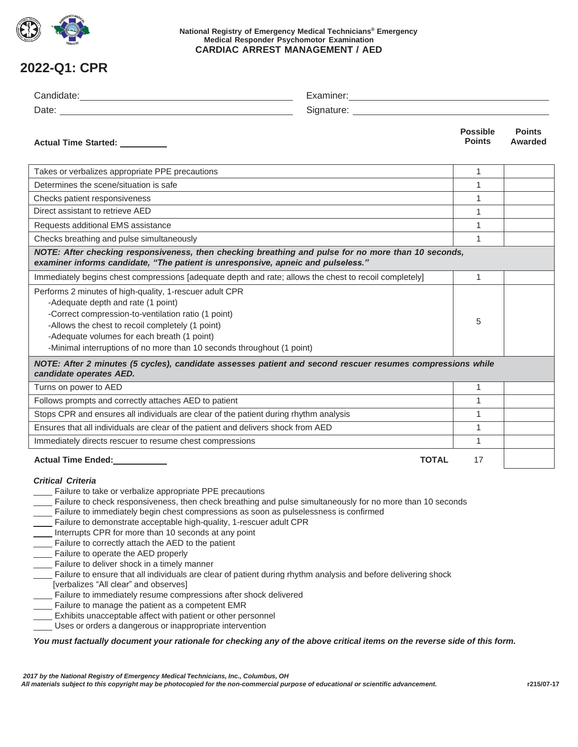

### **National Registry of Emergency Medical Technicians® Emergency Medical Responder Psychomotor Examination CARDIAC ARREST MANAGEMENT / AED**

# **2022-Q1: CPR**

| Actual Time Started: _________                                                                                                                                                                                                                                                                                                                                                                                                                                                                                                                                                                                                                                                                                                                                                                                                                                                                                                                                                          |              | <b>Possible</b><br><b>Points</b> | <b>Points</b><br>Awarded |  |  |
|-----------------------------------------------------------------------------------------------------------------------------------------------------------------------------------------------------------------------------------------------------------------------------------------------------------------------------------------------------------------------------------------------------------------------------------------------------------------------------------------------------------------------------------------------------------------------------------------------------------------------------------------------------------------------------------------------------------------------------------------------------------------------------------------------------------------------------------------------------------------------------------------------------------------------------------------------------------------------------------------|--------------|----------------------------------|--------------------------|--|--|
| Takes or verbalizes appropriate PPE precautions                                                                                                                                                                                                                                                                                                                                                                                                                                                                                                                                                                                                                                                                                                                                                                                                                                                                                                                                         |              | 1                                |                          |  |  |
| Determines the scene/situation is safe                                                                                                                                                                                                                                                                                                                                                                                                                                                                                                                                                                                                                                                                                                                                                                                                                                                                                                                                                  |              | $\mathbf{1}$                     |                          |  |  |
| Checks patient responsiveness                                                                                                                                                                                                                                                                                                                                                                                                                                                                                                                                                                                                                                                                                                                                                                                                                                                                                                                                                           |              | 1                                |                          |  |  |
| Direct assistant to retrieve AED                                                                                                                                                                                                                                                                                                                                                                                                                                                                                                                                                                                                                                                                                                                                                                                                                                                                                                                                                        |              | $\mathbf{1}$                     |                          |  |  |
| Requests additional EMS assistance                                                                                                                                                                                                                                                                                                                                                                                                                                                                                                                                                                                                                                                                                                                                                                                                                                                                                                                                                      |              | $\mathbf{1}$                     |                          |  |  |
| Checks breathing and pulse simultaneously                                                                                                                                                                                                                                                                                                                                                                                                                                                                                                                                                                                                                                                                                                                                                                                                                                                                                                                                               |              | $\mathbf{1}$                     |                          |  |  |
| NOTE: After checking responsiveness, then checking breathing and pulse for no more than 10 seconds,<br>examiner informs candidate, "The patient is unresponsive, apneic and pulseless."                                                                                                                                                                                                                                                                                                                                                                                                                                                                                                                                                                                                                                                                                                                                                                                                 |              |                                  |                          |  |  |
| Immediately begins chest compressions [adequate depth and rate; allows the chest to recoil completely]                                                                                                                                                                                                                                                                                                                                                                                                                                                                                                                                                                                                                                                                                                                                                                                                                                                                                  |              | 1                                |                          |  |  |
| Performs 2 minutes of high-quality, 1-rescuer adult CPR<br>-Adequate depth and rate (1 point)<br>-Correct compression-to-ventilation ratio (1 point)<br>-Allows the chest to recoil completely (1 point)<br>-Adequate volumes for each breath (1 point)<br>-Minimal interruptions of no more than 10 seconds throughout (1 point)                                                                                                                                                                                                                                                                                                                                                                                                                                                                                                                                                                                                                                                       |              | 5                                |                          |  |  |
| NOTE: After 2 minutes (5 cycles), candidate assesses patient and second rescuer resumes compressions while<br>candidate operates AED.                                                                                                                                                                                                                                                                                                                                                                                                                                                                                                                                                                                                                                                                                                                                                                                                                                                   |              |                                  |                          |  |  |
| Turns on power to AED                                                                                                                                                                                                                                                                                                                                                                                                                                                                                                                                                                                                                                                                                                                                                                                                                                                                                                                                                                   |              | $\mathbf{1}$                     |                          |  |  |
| Follows prompts and correctly attaches AED to patient                                                                                                                                                                                                                                                                                                                                                                                                                                                                                                                                                                                                                                                                                                                                                                                                                                                                                                                                   |              | $\mathbf{1}$                     |                          |  |  |
| Stops CPR and ensures all individuals are clear of the patient during rhythm analysis                                                                                                                                                                                                                                                                                                                                                                                                                                                                                                                                                                                                                                                                                                                                                                                                                                                                                                   |              | 1                                |                          |  |  |
| Ensures that all individuals are clear of the patient and delivers shock from AED                                                                                                                                                                                                                                                                                                                                                                                                                                                                                                                                                                                                                                                                                                                                                                                                                                                                                                       |              | $\mathbf{1}$                     |                          |  |  |
| Immediately directs rescuer to resume chest compressions                                                                                                                                                                                                                                                                                                                                                                                                                                                                                                                                                                                                                                                                                                                                                                                                                                                                                                                                |              | 1                                |                          |  |  |
| Actual Time Ended:<br><u>Letteral</u>                                                                                                                                                                                                                                                                                                                                                                                                                                                                                                                                                                                                                                                                                                                                                                                                                                                                                                                                                   | <b>TOTAL</b> | 17                               |                          |  |  |
| <b>Critical Criteria</b><br>Failure to take or verbalize appropriate PPE precautions<br>Failure to check responsiveness, then check breathing and pulse simultaneously for no more than 10 seconds<br>Failure to immediately begin chest compressions as soon as pulselessness is confirmed<br>Failure to demonstrate acceptable high-quality, 1-rescuer adult CPR<br>Interrupts CPR for more than 10 seconds at any point<br>Failure to correctly attach the AED to the patient<br>Failure to operate the AED properly<br>- Failure to deliver shock in a timely manner<br>Failure to ensure that all individuals are clear of patient during rhythm analysis and before delivering shock<br>[verbalizes "All clear" and observes]<br>Failure to immediately resume compressions after shock delivered<br>Failure to manage the patient as a competent EMR<br>Exhibits unacceptable affect with patient or other personnel<br>Uses or orders a dangerous or inappropriate intervention |              |                                  |                          |  |  |
| You must factually document your rationale for checking any of the above critical items on the reverse side of this form.                                                                                                                                                                                                                                                                                                                                                                                                                                                                                                                                                                                                                                                                                                                                                                                                                                                               |              |                                  |                          |  |  |